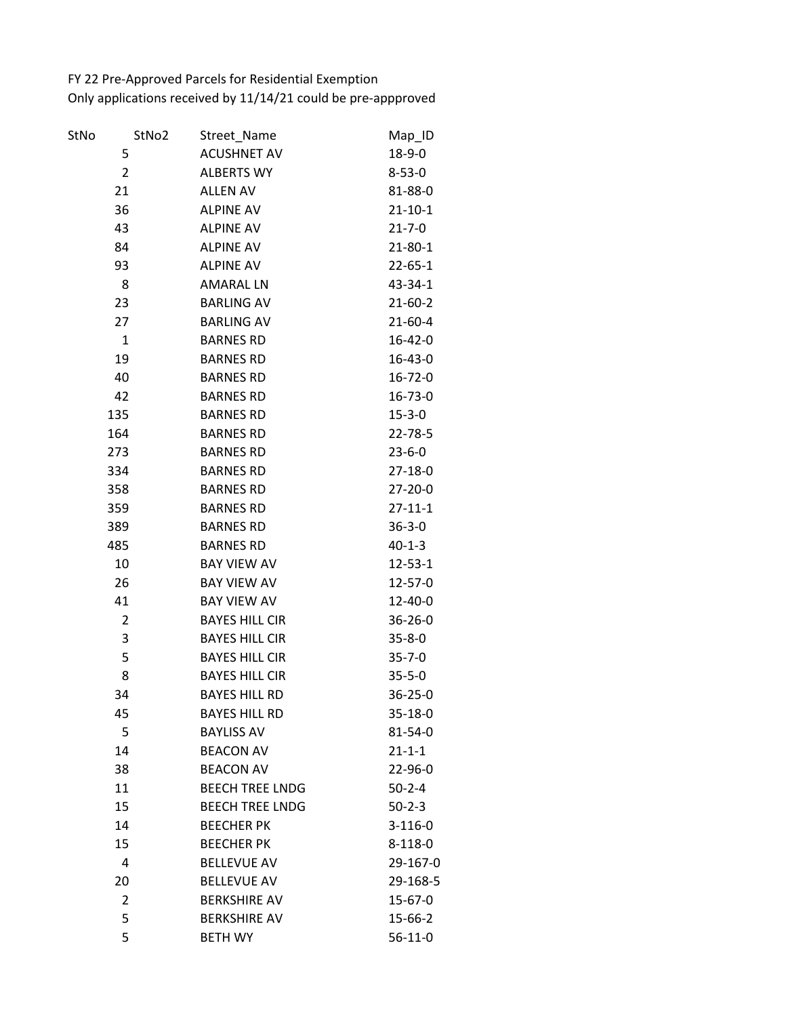FY 22 Pre-Approved Parcels for Residential Exemption Only applications received by 11/14/21 could be pre-appproved

| StNo | StNo2          | Street_Name            | Map_ID        |
|------|----------------|------------------------|---------------|
|      | 5              | <b>ACUSHNET AV</b>     | 18-9-0        |
|      | $\overline{2}$ | <b>ALBERTS WY</b>      | $8 - 53 - 0$  |
|      | 21             | <b>ALLEN AV</b>        | 81-88-0       |
|      | 36             | <b>ALPINE AV</b>       | $21 - 10 - 1$ |
|      | 43             | <b>ALPINE AV</b>       | $21 - 7 - 0$  |
|      | 84             | <b>ALPINE AV</b>       | 21-80-1       |
|      | 93             | <b>ALPINE AV</b>       | $22 - 65 - 1$ |
|      | 8              | <b>AMARAL LN</b>       | 43-34-1       |
|      | 23             | <b>BARLING AV</b>      | 21-60-2       |
|      | 27             | <b>BARLING AV</b>      | $21 - 60 - 4$ |
|      | $\mathbf{1}$   | <b>BARNES RD</b>       | $16 - 42 - 0$ |
|      | 19             | <b>BARNES RD</b>       | 16-43-0       |
|      | 40             | <b>BARNES RD</b>       | $16 - 72 - 0$ |
|      | 42             | <b>BARNES RD</b>       | $16 - 73 - 0$ |
|      | 135            | <b>BARNES RD</b>       | $15 - 3 - 0$  |
|      | 164            | <b>BARNES RD</b>       | 22-78-5       |
|      | 273            | <b>BARNES RD</b>       | $23 - 6 - 0$  |
|      | 334            | <b>BARNES RD</b>       | 27-18-0       |
|      | 358            | <b>BARNES RD</b>       | 27-20-0       |
|      | 359            | <b>BARNES RD</b>       | $27 - 11 - 1$ |
|      | 389            | <b>BARNES RD</b>       | $36 - 3 - 0$  |
|      | 485            | <b>BARNES RD</b>       | $40 - 1 - 3$  |
|      | 10             | <b>BAY VIEW AV</b>     | $12 - 53 - 1$ |
|      | 26             | <b>BAY VIEW AV</b>     | 12-57-0       |
|      | 41             | <b>BAY VIEW AV</b>     | $12 - 40 - 0$ |
|      | $\overline{2}$ | <b>BAYES HILL CIR</b>  | $36 - 26 - 0$ |
|      | 3              | <b>BAYES HILL CIR</b>  | $35 - 8 - 0$  |
|      | 5              | <b>BAYES HILL CIR</b>  | $35 - 7 - 0$  |
|      | 8              | <b>BAYES HILL CIR</b>  | $35 - 5 - 0$  |
|      | 34             | <b>BAYES HILL RD</b>   | 36-25-0       |
|      | 45             | <b>BAYES HILL RD</b>   | 35-18-0       |
|      | 5              | <b>BAYLISS AV</b>      | $81 - 54 - 0$ |
|      | 14             | <b>BEACON AV</b>       | $21 - 1 - 1$  |
|      | 38             | <b>BEACON AV</b>       | 22-96-0       |
|      | 11             | <b>BEECH TREE LNDG</b> | $50 - 2 - 4$  |
|      | 15             | <b>BEECH TREE LNDG</b> | $50 - 2 - 3$  |
|      | 14             | <b>BEECHER PK</b>      | $3-116-0$     |
|      | 15             | <b>BEECHER PK</b>      | $8-118-0$     |
|      | 4              | <b>BELLEVUE AV</b>     | 29-167-0      |
|      | 20             | <b>BELLEVUE AV</b>     | 29-168-5      |
|      | 2              | <b>BERKSHIRE AV</b>    | 15-67-0       |
|      | 5              | <b>BERKSHIRE AV</b>    | 15-66-2       |
|      | 5              | <b>BETH WY</b>         | $56 - 11 - 0$ |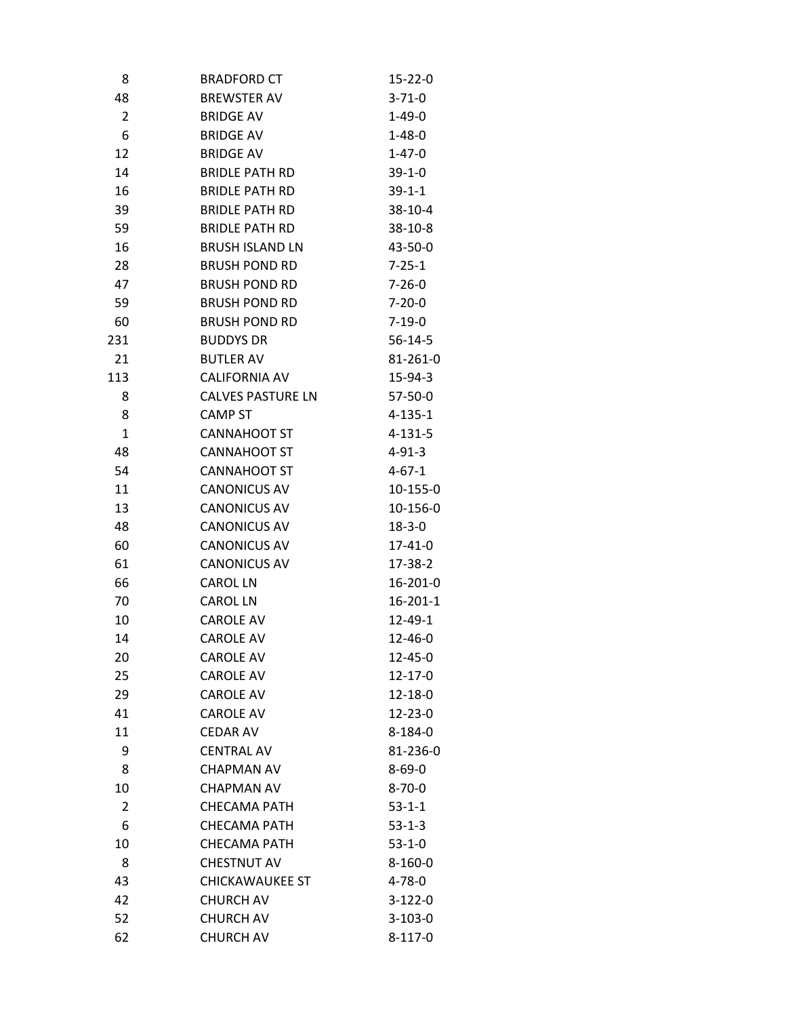| 8              | <b>BRADFORD CT</b>       | $15 - 22 - 0$  |
|----------------|--------------------------|----------------|
| 48             | <b>BREWSTER AV</b>       | $3 - 71 - 0$   |
| $\overline{2}$ | <b>BRIDGE AV</b>         | $1 - 49 - 0$   |
| 6              | <b>BRIDGE AV</b>         | $1 - 48 - 0$   |
| 12             | <b>BRIDGE AV</b>         | $1 - 47 - 0$   |
| 14             | <b>BRIDLE PATH RD</b>    | $39-1-0$       |
| 16             | <b>BRIDLE PATH RD</b>    | $39 - 1 - 1$   |
| 39             | <b>BRIDLE PATH RD</b>    | $38-10-4$      |
| 59             | <b>BRIDLE PATH RD</b>    | $38-10-8$      |
| 16             | <b>BRUSH ISLAND LN</b>   | 43-50-0        |
| 28             | <b>BRUSH POND RD</b>     | $7 - 25 - 1$   |
| 47             | <b>BRUSH POND RD</b>     | $7 - 26 - 0$   |
| 59             | <b>BRUSH POND RD</b>     | $7 - 20 - 0$   |
| 60             | <b>BRUSH POND RD</b>     | $7 - 19 - 0$   |
| 231            | <b>BUDDYS DR</b>         | $56 - 14 - 5$  |
| 21             | <b>BUTLER AV</b>         | 81-261-0       |
| 113            | <b>CALIFORNIA AV</b>     | 15-94-3        |
| 8              | <b>CALVES PASTURE LN</b> | 57-50-0        |
| 8              | <b>CAMP ST</b>           | $4 - 135 - 1$  |
| $\mathbf{1}$   | CANNAHOOT ST             | $4 - 131 - 5$  |
| 48             | <b>CANNAHOOT ST</b>      | $4 - 91 - 3$   |
| 54             | <b>CANNAHOOT ST</b>      | 4-67-1         |
| 11             | <b>CANONICUS AV</b>      | 10-155-0       |
| 13             | <b>CANONICUS AV</b>      | 10-156-0       |
| 48             | <b>CANONICUS AV</b>      | $18 - 3 - 0$   |
| 60             | <b>CANONICUS AV</b>      | 17-41-0        |
| 61             | <b>CANONICUS AV</b>      | 17-38-2        |
| 66             | <b>CAROL LN</b>          | 16-201-0       |
| 70             | <b>CAROL LN</b>          | $16 - 201 - 1$ |
| 10             | <b>CAROLE AV</b>         | 12-49-1        |
| 14             | <b>CAROLE AV</b>         | $12 - 46 - 0$  |
| 20             | <b>CAROLE AV</b>         | 12-45-0        |
| 25             | <b>CAROLE AV</b>         | $12 - 17 - 0$  |
| 29             | <b>CAROLE AV</b>         | 12-18-0        |
| 41             | <b>CAROLE AV</b>         | $12 - 23 - 0$  |
| 11             | <b>CEDAR AV</b>          | $8 - 184 - 0$  |
| 9              | <b>CENTRAL AV</b>        | 81-236-0       |
| 8              | <b>CHAPMAN AV</b>        | $8 - 69 - 0$   |
| 10             | <b>CHAPMAN AV</b>        | $8 - 70 - 0$   |
| 2              | <b>CHECAMA PATH</b>      | $53 - 1 - 1$   |
| 6              | <b>CHECAMA PATH</b>      | $53 - 1 - 3$   |
| 10             | <b>CHECAMA PATH</b>      | $53 - 1 - 0$   |
| 8              | <b>CHESTNUT AV</b>       | $8-160-0$      |
| 43             | <b>CHICKAWAUKEE ST</b>   | $4 - 78 - 0$   |
| 42             | <b>CHURCH AV</b>         | $3-122-0$      |
| 52             | <b>CHURCH AV</b>         | $3-103-0$      |
| 62             | <b>CHURCH AV</b>         | $8 - 117 - 0$  |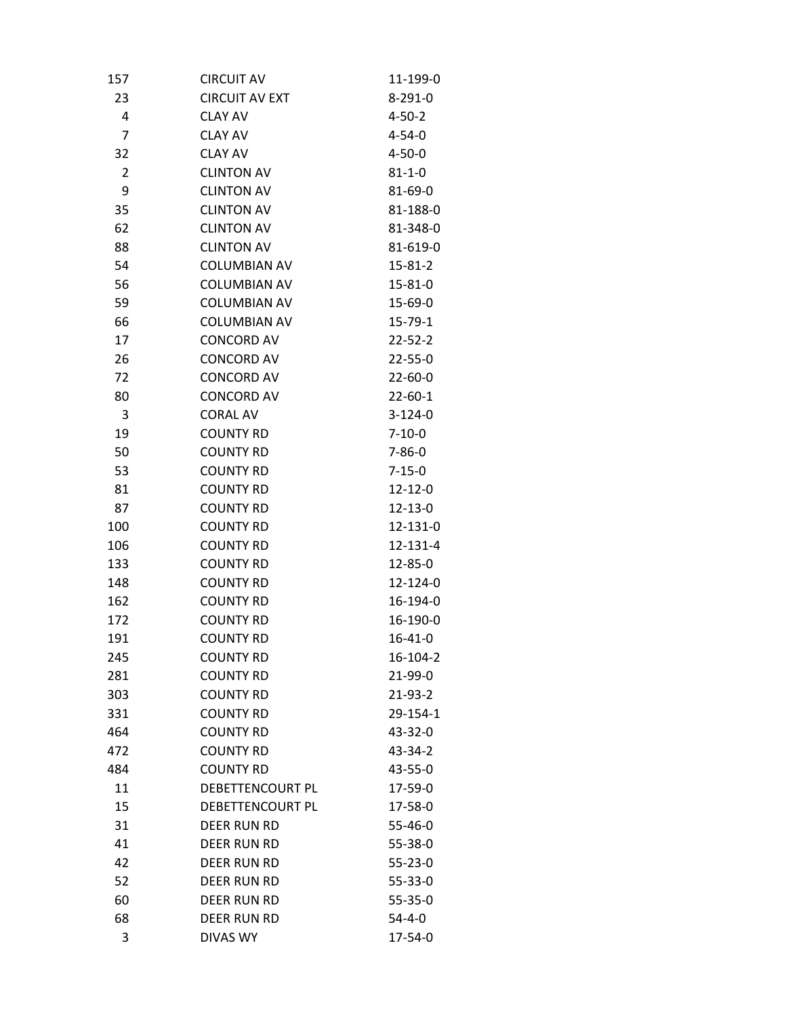| 157            | <b>CIRCUIT AV</b>       | 11-199-0      |
|----------------|-------------------------|---------------|
| 23             | <b>CIRCUIT AV EXT</b>   | $8-291-0$     |
| 4              | <b>CLAY AV</b>          | $4 - 50 - 2$  |
| $\overline{7}$ | <b>CLAY AV</b>          | $4 - 54 - 0$  |
| 32             | <b>CLAY AV</b>          | $4 - 50 - 0$  |
| $\overline{2}$ | <b>CLINTON AV</b>       | $81 - 1 - 0$  |
| 9              | <b>CLINTON AV</b>       | 81-69-0       |
| 35             | <b>CLINTON AV</b>       | 81-188-0      |
| 62             | <b>CLINTON AV</b>       | 81-348-0      |
| 88             | <b>CLINTON AV</b>       | 81-619-0      |
| 54             | <b>COLUMBIAN AV</b>     | $15 - 81 - 2$ |
| 56             | <b>COLUMBIAN AV</b>     | 15-81-0       |
| 59             | <b>COLUMBIAN AV</b>     | 15-69-0       |
| 66             | <b>COLUMBIAN AV</b>     | $15 - 79 - 1$ |
| 17             | <b>CONCORD AV</b>       | $22 - 52 - 2$ |
| 26             | <b>CONCORD AV</b>       | $22 - 55 - 0$ |
| 72             | <b>CONCORD AV</b>       | $22 - 60 - 0$ |
| 80             | <b>CONCORD AV</b>       | $22 - 60 - 1$ |
| 3              | <b>CORAL AV</b>         | $3-124-0$     |
| 19             | <b>COUNTY RD</b>        | $7 - 10 - 0$  |
| 50             | <b>COUNTY RD</b>        | $7 - 86 - 0$  |
| 53             | <b>COUNTY RD</b>        | $7 - 15 - 0$  |
| 81             | <b>COUNTY RD</b>        | $12 - 12 - 0$ |
| 87             | <b>COUNTY RD</b>        | $12 - 13 - 0$ |
| 100            | <b>COUNTY RD</b>        | 12-131-0      |
| 106            | <b>COUNTY RD</b>        | 12-131-4      |
| 133            | <b>COUNTY RD</b>        | 12-85-0       |
| 148            | <b>COUNTY RD</b>        | 12-124-0      |
| 162            | <b>COUNTY RD</b>        | 16-194-0      |
| 172            | <b>COUNTY RD</b>        | 16-190-0      |
| 191            | <b>COUNTY RD</b>        | $16 - 41 - 0$ |
| 245            | <b>COUNTY RD</b>        | 16-104-2      |
| 281            | <b>COUNTY RD</b>        | 21-99-0       |
| 303            | <b>COUNTY RD</b>        | 21-93-2       |
| 331            | <b>COUNTY RD</b>        | 29-154-1      |
| 464            | <b>COUNTY RD</b>        | 43-32-0       |
| 472            | <b>COUNTY RD</b>        | 43-34-2       |
| 484            | <b>COUNTY RD</b>        | 43-55-0       |
| 11             | DEBETTENCOURT PL        | 17-59-0       |
| 15             | <b>DEBETTENCOURT PL</b> | 17-58-0       |
| 31             | DEER RUN RD             | 55-46-0       |
| 41             | DEER RUN RD             | 55-38-0       |
| 42             | DEER RUN RD             | $55 - 23 - 0$ |
| 52             | DEER RUN RD             | 55-33-0       |
| 60             | DEER RUN RD             | 55-35-0       |
| 68             | DEER RUN RD             | $54 - 4 - 0$  |
| 3              | <b>DIVAS WY</b>         | 17-54-0       |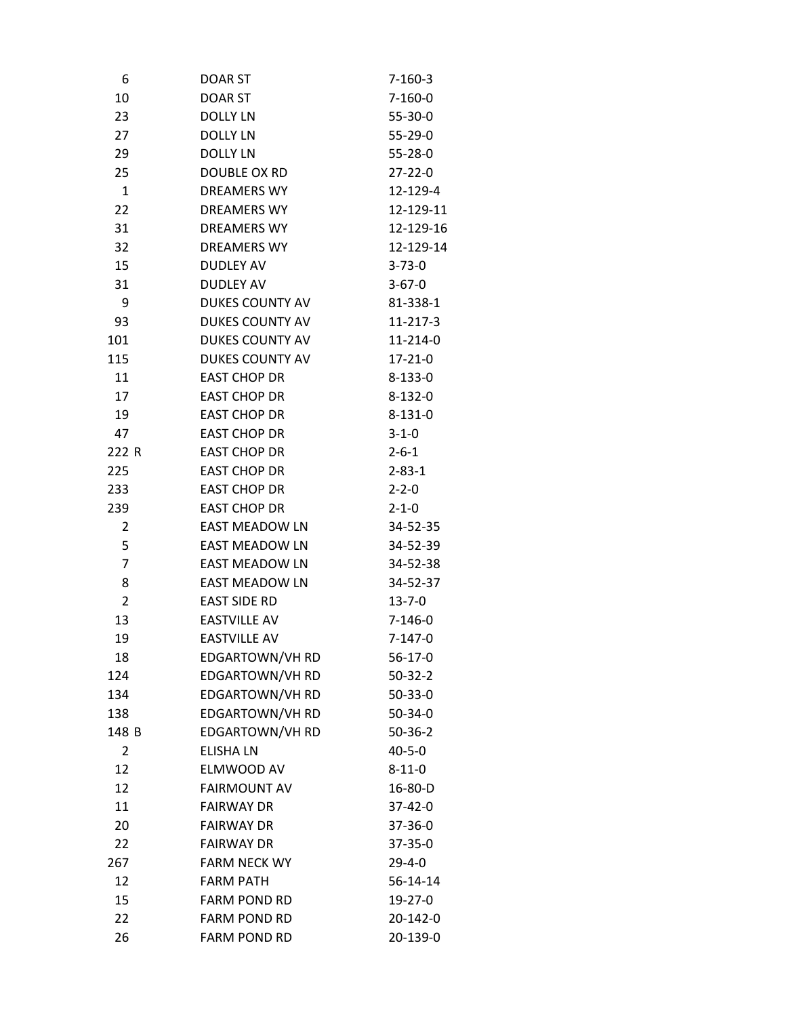| 6              | <b>DOAR ST</b>         | $7 - 160 - 3$ |
|----------------|------------------------|---------------|
| 10             | <b>DOAR ST</b>         | $7 - 160 - 0$ |
| 23             | DOLLY LN               | 55-30-0       |
| 27             | <b>DOLLY LN</b>        | 55-29-0       |
| 29             | <b>DOLLY LN</b>        | $55 - 28 - 0$ |
| 25             | DOUBLE OX RD           | $27 - 22 - 0$ |
| $\mathbf{1}$   | <b>DREAMERS WY</b>     | 12-129-4      |
| 22             | <b>DREAMERS WY</b>     | 12-129-11     |
| 31             | <b>DREAMERS WY</b>     | 12-129-16     |
| 32             | <b>DREAMERS WY</b>     | 12-129-14     |
| 15             | <b>DUDLEY AV</b>       | $3 - 73 - 0$  |
| 31             | <b>DUDLEY AV</b>       | $3 - 67 - 0$  |
| 9              | DUKES COUNTY AV        | 81-338-1      |
| 93             | <b>DUKES COUNTY AV</b> | $11-217-3$    |
| 101            | <b>DUKES COUNTY AV</b> | 11-214-0      |
| 115            | DUKES COUNTY AV        | $17 - 21 - 0$ |
| 11             | <b>EAST CHOP DR</b>    | $8 - 133 - 0$ |
| 17             | <b>EAST CHOP DR</b>    | $8 - 132 - 0$ |
| 19             | <b>EAST CHOP DR</b>    | $8 - 131 - 0$ |
| 47             | <b>EAST CHOP DR</b>    | $3 - 1 - 0$   |
| 222 R          | <b>EAST CHOP DR</b>    | $2 - 6 - 1$   |
| 225            | <b>EAST CHOP DR</b>    | $2 - 83 - 1$  |
| 233            | <b>EAST CHOP DR</b>    | $2 - 2 - 0$   |
| 239            | <b>EAST CHOP DR</b>    | $2 - 1 - 0$   |
| $\overline{2}$ | <b>EAST MEADOW LN</b>  | 34-52-35      |
| 5              | <b>EAST MEADOW LN</b>  | 34-52-39      |
| $\overline{7}$ | <b>EAST MEADOW LN</b>  | 34-52-38      |
| 8              | <b>EAST MEADOW LN</b>  | 34-52-37      |
| $\overline{2}$ | <b>EAST SIDE RD</b>    | $13 - 7 - 0$  |
| 13             | <b>EASTVILLE AV</b>    | $7-146-0$     |
| 19             | <b>EASTVILLE AV</b>    | $7 - 147 - 0$ |
| 18             | EDGARTOWN/VH RD        | $56-17-0$     |
| 124            | EDGARTOWN/VH RD        | $50-32-2$     |
| 134            | EDGARTOWN/VH RD        | $50 - 33 - 0$ |
| 138            | <b>EDGARTOWN/VH RD</b> | $50 - 34 - 0$ |
| 148 B          | EDGARTOWN/VH RD        | $50 - 36 - 2$ |
| $\overline{2}$ | <b>ELISHA LN</b>       | $40 - 5 - 0$  |
| 12             | ELMWOOD AV             | $8 - 11 - 0$  |
| 12             | <b>FAIRMOUNT AV</b>    | 16-80-D       |
| 11             | <b>FAIRWAY DR</b>      | 37-42-0       |
| 20             | <b>FAIRWAY DR</b>      | 37-36-0       |
| 22             | <b>FAIRWAY DR</b>      | 37-35-0       |
| 267            | <b>FARM NECK WY</b>    | $29 - 4 - 0$  |
| 12             | <b>FARM PATH</b>       | 56-14-14      |
| 15             | <b>FARM POND RD</b>    | 19-27-0       |
| 22             | <b>FARM POND RD</b>    | 20-142-0      |
| 26             | <b>FARM POND RD</b>    | 20-139-0      |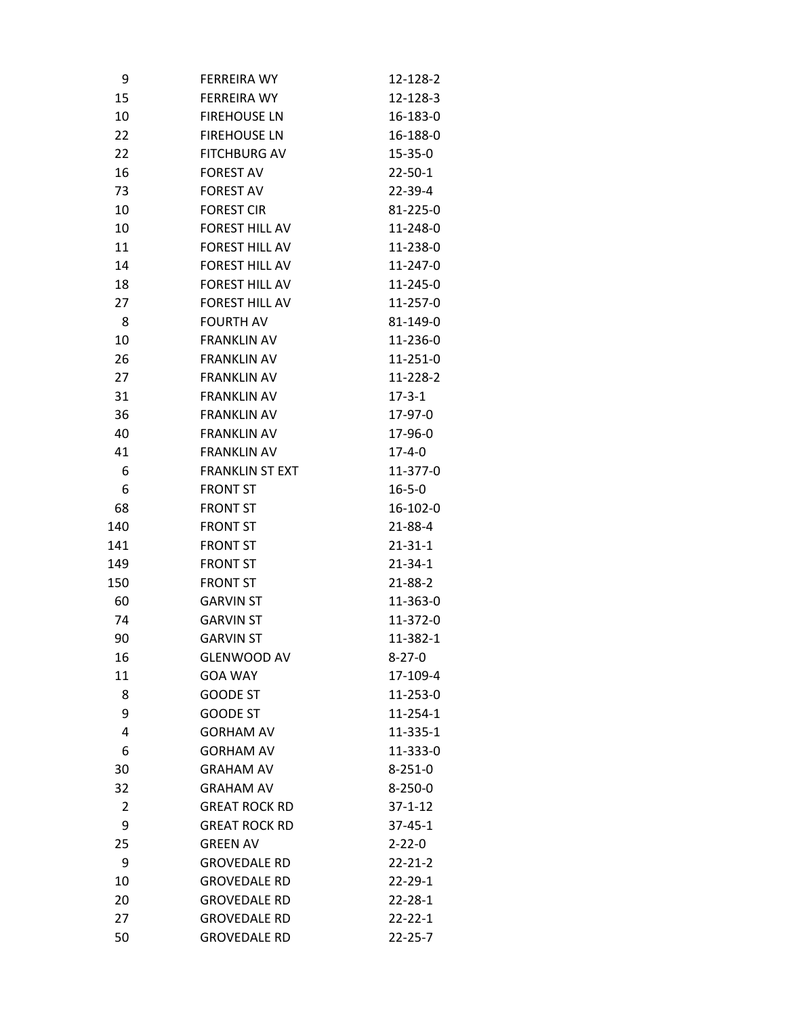| 9   | <b>FERREIRA WY</b>     | 12-128-2      |
|-----|------------------------|---------------|
| 15  | <b>FERREIRA WY</b>     | 12-128-3      |
| 10  | <b>FIREHOUSE LN</b>    | 16-183-0      |
| 22  | <b>FIREHOUSE LN</b>    | 16-188-0      |
| 22  | <b>FITCHBURG AV</b>    | 15-35-0       |
| 16  | <b>FOREST AV</b>       | $22 - 50 - 1$ |
| 73  | <b>FOREST AV</b>       | 22-39-4       |
| 10  | <b>FOREST CIR</b>      | 81-225-0      |
| 10  | <b>FOREST HILL AV</b>  | 11-248-0      |
| 11  | <b>FOREST HILL AV</b>  | 11-238-0      |
| 14  | <b>FOREST HILL AV</b>  | 11-247-0      |
| 18  | <b>FOREST HILL AV</b>  | 11-245-0      |
| 27  | <b>FOREST HILL AV</b>  | 11-257-0      |
| 8   | <b>FOURTH AV</b>       | 81-149-0      |
| 10  | <b>FRANKLIN AV</b>     | 11-236-0      |
| 26  | <b>FRANKLIN AV</b>     | 11-251-0      |
| 27  | <b>FRANKLIN AV</b>     | 11-228-2      |
| 31  | <b>FRANKLIN AV</b>     | $17 - 3 - 1$  |
| 36  | <b>FRANKLIN AV</b>     | 17-97-0       |
| 40  | <b>FRANKLIN AV</b>     | 17-96-0       |
| 41  | <b>FRANKLIN AV</b>     | 17-4-0        |
| 6   | <b>FRANKLIN ST EXT</b> | 11-377-0      |
| 6   | <b>FRONT ST</b>        | $16 - 5 - 0$  |
| 68  | <b>FRONT ST</b>        | 16-102-0      |
| 140 | <b>FRONT ST</b>        | 21-88-4       |
| 141 | <b>FRONT ST</b>        | $21 - 31 - 1$ |
| 149 | <b>FRONT ST</b>        | 21-34-1       |
| 150 | <b>FRONT ST</b>        | $21 - 88 - 2$ |
| 60  | <b>GARVIN ST</b>       | 11-363-0      |
| 74  | <b>GARVIN ST</b>       | 11-372-0      |
| 90  | <b>GARVIN ST</b>       | 11-382-1      |
| 16  | <b>GLENWOOD AV</b>     | $8 - 27 - 0$  |
| 11  | <b>GOA WAY</b>         | 17-109-4      |
| 8   | <b>GOODE ST</b>        | 11-253-0      |
| 9   | <b>GOODE ST</b>        | 11-254-1      |
| 4   | <b>GORHAM AV</b>       | 11-335-1      |
| 6   | <b>GORHAM AV</b>       | 11-333-0      |
| 30  | <b>GRAHAM AV</b>       | $8 - 251 - 0$ |
| 32  | <b>GRAHAM AV</b>       | $8 - 250 - 0$ |
| 2   | <b>GREAT ROCK RD</b>   | $37 - 1 - 12$ |
| 9   | <b>GREAT ROCK RD</b>   | $37 - 45 - 1$ |
| 25  | <b>GREEN AV</b>        | $2 - 22 - 0$  |
| 9   | <b>GROVEDALE RD</b>    | $22 - 21 - 2$ |
| 10  | <b>GROVEDALE RD</b>    | $22 - 29 - 1$ |
| 20  | <b>GROVEDALE RD</b>    | $22 - 28 - 1$ |
| 27  | <b>GROVEDALE RD</b>    | $22 - 22 - 1$ |
| 50  | <b>GROVEDALE RD</b>    | $22 - 25 - 7$ |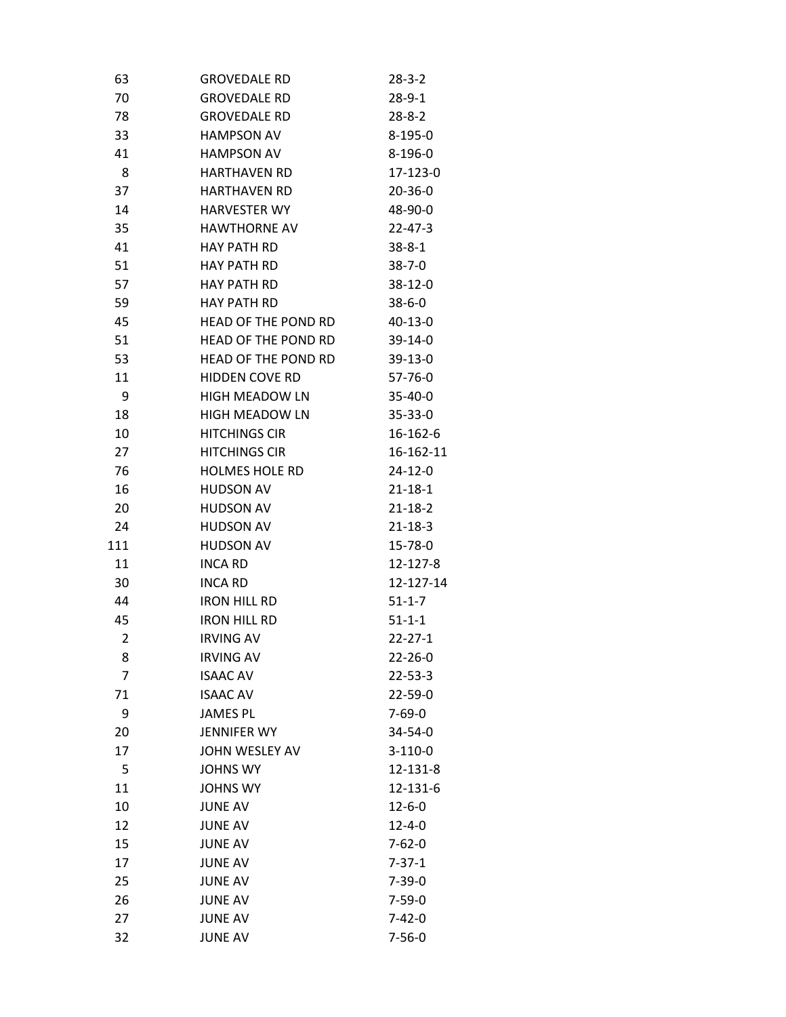| 63             | <b>GROVEDALE RD</b>        | 28-3-2        |
|----------------|----------------------------|---------------|
| 70             | <b>GROVEDALE RD</b>        | 28-9-1        |
| 78             | <b>GROVEDALE RD</b>        | $28 - 8 - 2$  |
| 33             | <b>HAMPSON AV</b>          | $8-195-0$     |
| 41             | <b>HAMPSON AV</b>          | $8-196-0$     |
| 8              | <b>HARTHAVEN RD</b>        | 17-123-0      |
| 37             | <b>HARTHAVEN RD</b>        | $20 - 36 - 0$ |
| 14             | <b>HARVESTER WY</b>        | 48-90-0       |
| 35             | <b>HAWTHORNE AV</b>        | $22 - 47 - 3$ |
| 41             | <b>HAY PATH RD</b>         | $38 - 8 - 1$  |
| 51             | <b>HAY PATH RD</b>         | $38 - 7 - 0$  |
| 57             | <b>HAY PATH RD</b>         | $38-12-0$     |
| 59             | <b>HAY PATH RD</b>         | $38 - 6 - 0$  |
| 45             | <b>HEAD OF THE POND RD</b> | $40 - 13 - 0$ |
| 51             | <b>HEAD OF THE POND RD</b> | $39-14-0$     |
| 53             | HEAD OF THE POND RD        | $39-13-0$     |
| 11             | <b>HIDDEN COVE RD</b>      | 57-76-0       |
| 9              | <b>HIGH MEADOW LN</b>      | $35 - 40 - 0$ |
| 18             | <b>HIGH MEADOW LN</b>      | $35 - 33 - 0$ |
| 10             | <b>HITCHINGS CIR</b>       | 16-162-6      |
| 27             | <b>HITCHINGS CIR</b>       | 16-162-11     |
| 76             | <b>HOLMES HOLE RD</b>      | $24 - 12 - 0$ |
| 16             | <b>HUDSON AV</b>           | $21 - 18 - 1$ |
| 20             | <b>HUDSON AV</b>           | $21 - 18 - 2$ |
| 24             | <b>HUDSON AV</b>           | $21 - 18 - 3$ |
| 111            | <b>HUDSON AV</b>           | 15-78-0       |
| 11             | <b>INCA RD</b>             | 12-127-8      |
| 30             | <b>INCA RD</b>             | 12-127-14     |
| 44             | <b>IRON HILL RD</b>        | $51 - 1 - 7$  |
| 45             | <b>IRON HILL RD</b>        | $51 - 1 - 1$  |
| $\overline{2}$ | <b>IRVING AV</b>           | $22 - 27 - 1$ |
| 8              | <b>IRVING AV</b>           | $22 - 26 - 0$ |
| $\overline{7}$ | <b>ISAAC AV</b>            | $22 - 53 - 3$ |
| 71             | <b>ISAAC AV</b>            | $22 - 59 - 0$ |
| 9              | <b>JAMES PL</b>            | $7 - 69 - 0$  |
| 20             | <b>JENNIFER WY</b>         | 34-54-0       |
| 17             | <b>JOHN WESLEY AV</b>      | $3-110-0$     |
| 5              | <b>JOHNS WY</b>            | 12-131-8      |
| 11             | <b>JOHNS WY</b>            | 12-131-6      |
| 10             | <b>JUNE AV</b>             | $12 - 6 - 0$  |
| 12             | <b>JUNE AV</b>             | $12 - 4 - 0$  |
| 15             | <b>JUNE AV</b>             | $7 - 62 - 0$  |
| 17             | <b>JUNE AV</b>             | $7 - 37 - 1$  |
| 25             | <b>JUNE AV</b>             | $7 - 39 - 0$  |
| 26             | <b>JUNE AV</b>             | $7 - 59 - 0$  |
| 27             | <b>JUNE AV</b>             | $7 - 42 - 0$  |
| 32             | <b>JUNE AV</b>             | $7 - 56 - 0$  |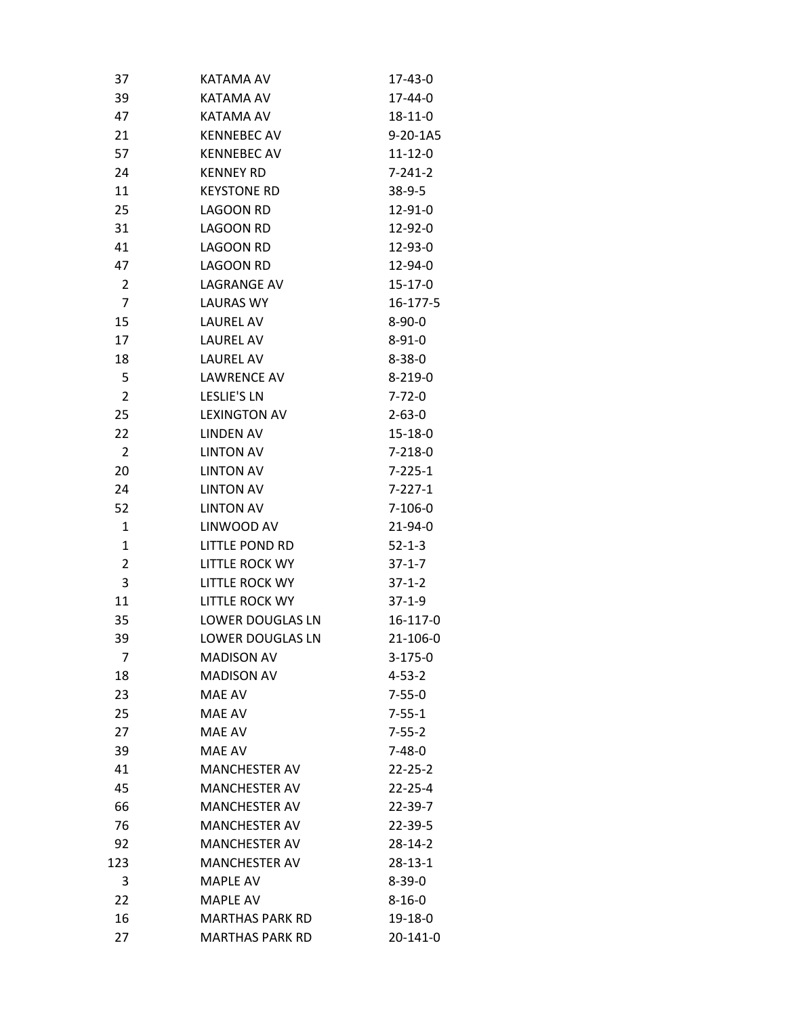| 37             | KATAMA AV               | 17-43-0       |
|----------------|-------------------------|---------------|
| 39             | KATAMA AV               | 17-44-0       |
| 47             | KATAMA AV               | $18 - 11 - 0$ |
| 21             | <b>KENNEBEC AV</b>      | 9-20-1A5      |
| 57             | <b>KENNEBEC AV</b>      | $11 - 12 - 0$ |
| 24             | <b>KENNEY RD</b>        | $7 - 241 - 2$ |
| 11             | <b>KEYSTONE RD</b>      | $38-9-5$      |
| 25             | <b>LAGOON RD</b>        | 12-91-0       |
| 31             | LAGOON RD               | 12-92-0       |
| 41             | LAGOON RD               | 12-93-0       |
| 47             | LAGOON RD               | 12-94-0       |
| $\overline{2}$ | LAGRANGE AV             | $15-17-0$     |
| $\overline{7}$ | <b>LAURAS WY</b>        | 16-177-5      |
| 15             | LAUREL AV               | $8 - 90 - 0$  |
| 17             | <b>LAUREL AV</b>        | $8 - 91 - 0$  |
| 18             | LAUREL AV               | $8 - 38 - 0$  |
| 5              | <b>LAWRENCE AV</b>      | $8 - 219 - 0$ |
| $\overline{2}$ | <b>LESLIE'S LN</b>      | $7 - 72 - 0$  |
| 25             | <b>LEXINGTON AV</b>     | $2 - 63 - 0$  |
| 22             | <b>LINDEN AV</b>        | $15 - 18 - 0$ |
| $\overline{2}$ | <b>LINTON AV</b>        | $7 - 218 - 0$ |
| 20             | <b>LINTON AV</b>        | $7 - 225 - 1$ |
| 24             | <b>LINTON AV</b>        | $7 - 227 - 1$ |
| 52             | <b>LINTON AV</b>        | $7 - 106 - 0$ |
| $\mathbf{1}$   | LINWOOD AV              | $21 - 94 - 0$ |
| $\mathbf{1}$   | LITTLE POND RD          | $52 - 1 - 3$  |
| $\overline{2}$ | LITTLE ROCK WY          | $37 - 1 - 7$  |
| 3              | LITTLE ROCK WY          | $37 - 1 - 2$  |
| 11             | <b>LITTLE ROCK WY</b>   | $37-1-9$      |
| 35             | LOWER DOUGLAS LN        | 16-117-0      |
| 39             | <b>LOWER DOUGLAS LN</b> | 21-106-0      |
| 7              | <b>MADISON AV</b>       | $3 - 175 - 0$ |
| 18             | <b>MADISON AV</b>       | $4 - 53 - 2$  |
| 23             | MAE AV                  | $7 - 55 - 0$  |
| 25             | MAE AV                  | $7 - 55 - 1$  |
| 27             | MAE AV                  | $7 - 55 - 2$  |
| 39             | MAE AV                  | $7 - 48 - 0$  |
| 41             | <b>MANCHESTER AV</b>    | $22 - 25 - 2$ |
| 45             | <b>MANCHESTER AV</b>    | $22 - 25 - 4$ |
| 66             | <b>MANCHESTER AV</b>    | 22-39-7       |
| 76             | <b>MANCHESTER AV</b>    | 22-39-5       |
| 92             | <b>MANCHESTER AV</b>    | 28-14-2       |
| 123            | <b>MANCHESTER AV</b>    | $28 - 13 - 1$ |
| 3              | <b>MAPLE AV</b>         | $8 - 39 - 0$  |
| 22             | <b>MAPLE AV</b>         | $8 - 16 - 0$  |
| 16             | <b>MARTHAS PARK RD</b>  | 19-18-0       |
| 27             | <b>MARTHAS PARK RD</b>  | 20-141-0      |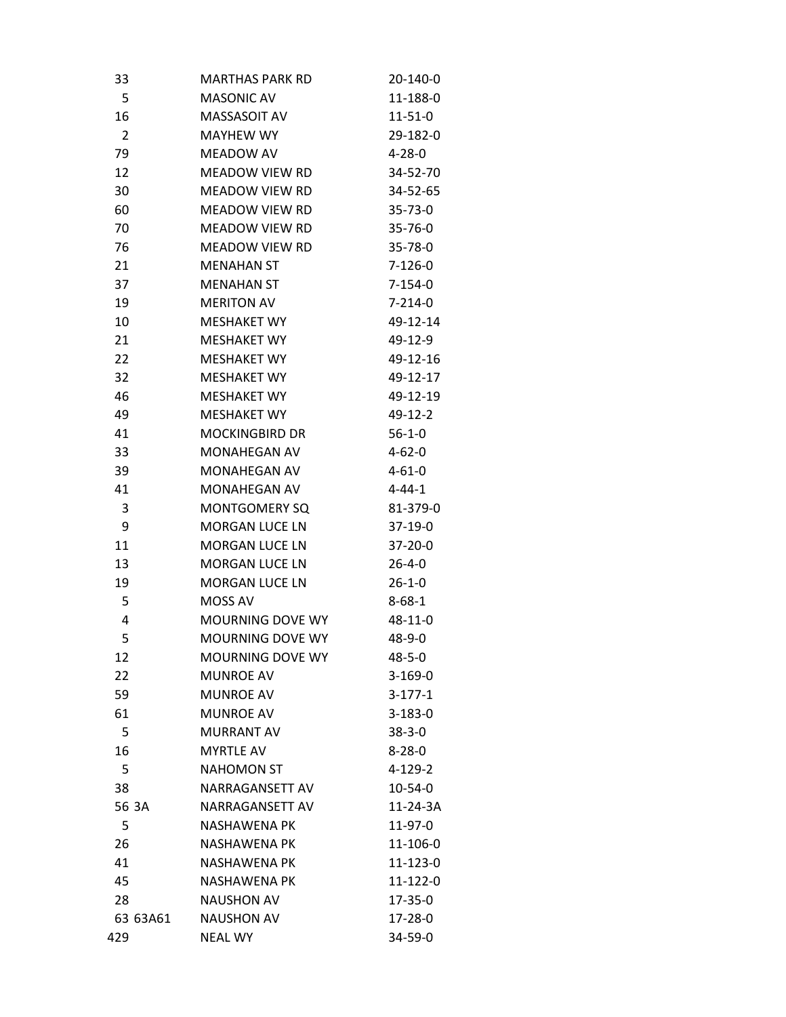| 33             | MARTHAS PARK RD         | 20-140-0      |
|----------------|-------------------------|---------------|
| 5              | <b>MASONIC AV</b>       | 11-188-0      |
| 16             | MASSASOIT AV            | $11 - 51 - 0$ |
| $\overline{2}$ | <b>MAYHEW WY</b>        | 29-182-0      |
| 79             | MEADOW AV               | 4-28-0        |
| 12             | MEADOW VIEW RD          | 34-52-70      |
| 30             | MEADOW VIEW RD          | 34-52-65      |
| 60             | <b>MEADOW VIEW RD</b>   | $35 - 73 - 0$ |
| 70             | MEADOW VIEW RD          | 35-76-0       |
| 76             | MEADOW VIEW RD          | $35 - 78 - 0$ |
| 21             | <b>MENAHAN ST</b>       | $7-126-0$     |
| 37             | <b>MENAHAN ST</b>       | $7 - 154 - 0$ |
| 19             | <b>MERITON AV</b>       | $7 - 214 - 0$ |
| 10             | <b>MESHAKET WY</b>      | 49-12-14      |
| 21             | <b>MESHAKET WY</b>      | 49-12-9       |
| 22             | <b>MESHAKET WY</b>      | 49-12-16      |
| 32             | <b>MESHAKET WY</b>      | 49-12-17      |
| 46             | <b>MESHAKET WY</b>      | 49-12-19      |
| 49             | <b>MESHAKET WY</b>      | $49-12-2$     |
| 41             | <b>MOCKINGBIRD DR</b>   | $56-1-0$      |
| 33             | MONAHEGAN AV            | $4 - 62 - 0$  |
| 39             | MONAHEGAN AV            | $4 - 61 - 0$  |
| 41             | <b>MONAHEGAN AV</b>     | $4 - 44 - 1$  |
| 3              | <b>MONTGOMERY SQ</b>    | 81-379-0      |
| 9              | <b>MORGAN LUCE LN</b>   | $37-19-0$     |
| 11             | <b>MORGAN LUCE LN</b>   | $37 - 20 - 0$ |
| 13             | <b>MORGAN LUCE LN</b>   | $26 - 4 - 0$  |
| 19             | <b>MORGAN LUCE LN</b>   | 26-1-0        |
| 5              | MOSS AV                 | $8 - 68 - 1$  |
| 4              | <b>MOURNING DOVE WY</b> | 48-11-0       |
| 5              | <b>MOURNING DOVE WY</b> | 48-9-0        |
| 12             | <b>MOURNING DOVE WY</b> | 48-5-0        |
| 22             | <b>MUNROE AV</b>        | $3-169-0$     |
| 59             | <b>MUNROE AV</b>        | $3-177-1$     |
| 61             | <b>MUNROE AV</b>        | 3-183-0       |
| 5              | <b>MURRANT AV</b>       | $38 - 3 - 0$  |
| 16             | <b>MYRTLE AV</b>        | $8 - 28 - 0$  |
| 5              | <b>NAHOMON ST</b>       | $4 - 129 - 2$ |
| 38             | NARRAGANSETT AV         | $10 - 54 - 0$ |
| 56 3A          | NARRAGANSETT AV         | 11-24-3A      |
| 5              | <b>NASHAWENA PK</b>     | 11-97-0       |
| 26             | <b>NASHAWENA PK</b>     | 11-106-0      |
| 41             | <b>NASHAWENA PK</b>     | 11-123-0      |
| 45             | <b>NASHAWENA PK</b>     | 11-122-0      |
| 28             | <b>NAUSHON AV</b>       | 17-35-0       |
| 63 63A61       | <b>NAUSHON AV</b>       | 17-28-0       |
| 429            | <b>NEAL WY</b>          | 34-59-0       |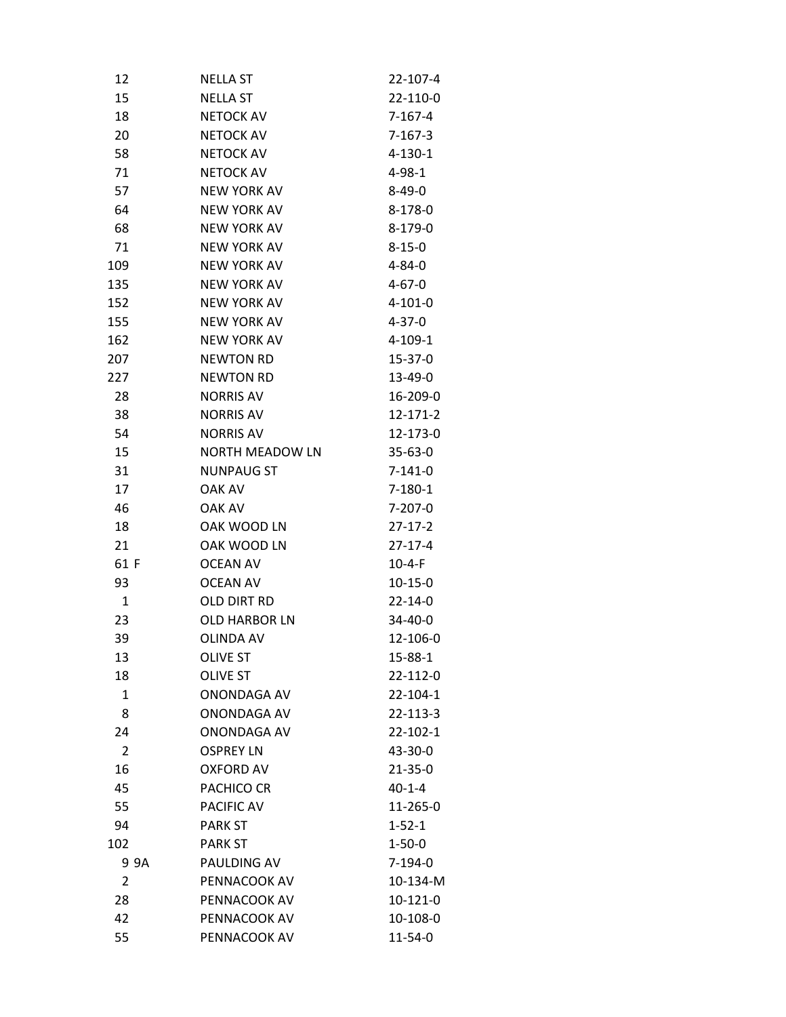| 12             |      | NELLA ST           | 22-107-4      |
|----------------|------|--------------------|---------------|
| 15             |      | NELLA ST           | 22-110-0      |
| 18             |      | <b>NETOCK AV</b>   | $7 - 167 - 4$ |
| 20             |      | <b>NETOCK AV</b>   | $7-167-3$     |
| 58             |      | <b>NETOCK AV</b>   | $4 - 130 - 1$ |
| 71             |      | <b>NETOCK AV</b>   | 4-98-1        |
| 57             |      | <b>NEW YORK AV</b> | $8 - 49 - 0$  |
| 64             |      | <b>NEW YORK AV</b> | 8-178-0       |
| 68             |      | <b>NEW YORK AV</b> | 8-179-0       |
| 71             |      | <b>NEW YORK AV</b> | $8 - 15 - 0$  |
| 109            |      | <b>NEW YORK AV</b> | $4 - 84 - 0$  |
| 135            |      | <b>NEW YORK AV</b> | $4 - 67 - 0$  |
| 152            |      | <b>NEW YORK AV</b> | 4-101-0       |
| 155            |      | <b>NEW YORK AV</b> | $4 - 37 - 0$  |
| 162            |      | <b>NEW YORK AV</b> | $4 - 109 - 1$ |
| 207            |      | <b>NEWTON RD</b>   | 15-37-0       |
| 227            |      | <b>NEWTON RD</b>   | 13-49-0       |
| 28             |      | <b>NORRIS AV</b>   | 16-209-0      |
| 38             |      | <b>NORRIS AV</b>   | 12-171-2      |
| 54             |      | <b>NORRIS AV</b>   | 12-173-0      |
| 15             |      | NORTH MEADOW LN    | $35 - 63 - 0$ |
| 31             |      | <b>NUNPAUG ST</b>  | $7 - 141 - 0$ |
| 17             |      | OAK AV             | 7-180-1       |
| 46             |      | OAK AV             | $7 - 207 - 0$ |
| 18             |      | OAK WOOD LN        | $27-17-2$     |
| 21             |      | OAK WOOD LN        | 27-17-4       |
| 61 F           |      | <b>OCEAN AV</b>    | 10-4-F        |
| 93             |      | <b>OCEAN AV</b>    | $10-15-0$     |
| $\mathbf{1}$   |      | OLD DIRT RD        | $22 - 14 - 0$ |
| 23             |      | OLD HARBOR LN      | 34-40-0       |
| 39             |      | <b>OLINDA AV</b>   | 12-106-0      |
| 13             |      | <b>OLIVE ST</b>    | 15-88-1       |
| 18             |      | <b>OLIVE ST</b>    | 22-112-0      |
| $\mathbf{1}$   |      | ONONDAGA AV        | 22-104-1      |
| 8              |      | <b>ONONDAGA AV</b> | 22-113-3      |
| 24             |      | ONONDAGA AV        | 22-102-1      |
| $\overline{2}$ |      | <b>OSPREY LN</b>   | 43-30-0       |
| 16             |      | <b>OXFORD AV</b>   | $21 - 35 - 0$ |
| 45             |      | PACHICO CR         | 40-1-4        |
| 55             |      | PACIFIC AV         | 11-265-0      |
| 94             |      | <b>PARK ST</b>     | $1 - 52 - 1$  |
| 102            |      | <b>PARK ST</b>     | $1 - 50 - 0$  |
|                | 9 9A | PAULDING AV        | $7-194-0$     |
| 2              |      | PENNACOOK AV       | 10-134-M      |
| 28             |      | PENNACOOK AV       | 10-121-0      |
| 42             |      | PENNACOOK AV       | 10-108-0      |
| 55             |      | PENNACOOK AV       | 11-54-0       |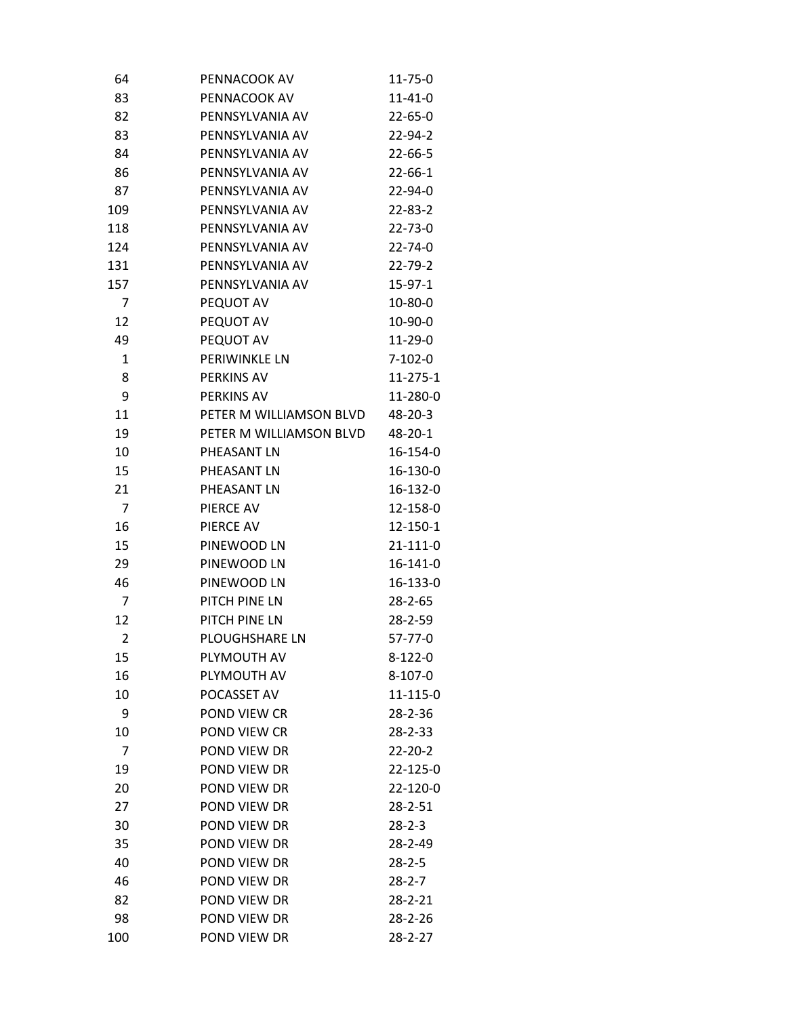| 64             | PENNACOOK AV            | $11 - 75 - 0$  |
|----------------|-------------------------|----------------|
| 83             | PENNACOOK AV            | $11 - 41 - 0$  |
| 82             | PENNSYLVANIA AV         | $22 - 65 - 0$  |
| 83             | PENNSYLVANIA AV         | 22-94-2        |
| 84             | PENNSYLVANIA AV         | $22 - 66 - 5$  |
| 86             | PENNSYLVANIA AV         | $22 - 66 - 1$  |
| 87             | PENNSYLVANIA AV         | 22-94-0        |
| 109            | PENNSYLVANIA AV         | $22 - 83 - 2$  |
| 118            | PENNSYLVANIA AV         | $22 - 73 - 0$  |
| 124            | PENNSYLVANIA AV         | $22 - 74 - 0$  |
| 131            | PENNSYLVANIA AV         | 22-79-2        |
| 157            | PENNSYLVANIA AV         | $15-97-1$      |
| 7              | PEQUOT AV               | 10-80-0        |
| 12             | PEQUOT AV               | 10-90-0        |
| 49             | PEQUOT AV               | $11-29-0$      |
| 1              | PERIWINKLE LN           | $7 - 102 - 0$  |
| 8              | PERKINS AV              | $11 - 275 - 1$ |
| 9              | PERKINS AV              | 11-280-0       |
| 11             | PETER M WILLIAMSON BLVD | 48-20-3        |
| 19             | PETER M WILLIAMSON BLVD | 48-20-1        |
| 10             | PHEASANT LN             | 16-154-0       |
| 15             | PHEASANT LN             | 16-130-0       |
| 21             | PHEASANT LN             | 16-132-0       |
| $\overline{7}$ | PIERCE AV               | 12-158-0       |
| 16             | PIERCE AV               | 12-150-1       |
| 15             | PINEWOOD LN             | 21-111-0       |
| 29             | PINEWOOD LN             | 16-141-0       |
| 46             | PINEWOOD LN             | 16-133-0       |
| $\overline{7}$ | PITCH PINE LN           | $28 - 2 - 65$  |
| 12             | PITCH PINE LN           | 28-2-59        |
| $\overline{2}$ | <b>PLOUGHSHARE LN</b>   | 57-77-0        |
| 15             | PLYMOUTH AV             | $8 - 122 - 0$  |
| 16             | PLYMOUTH AV             | $8-107-0$      |
| 10             | POCASSET AV             | 11-115-0       |
| 9              | POND VIEW CR            | 28-2-36        |
| 10             | POND VIEW CR            | 28-2-33        |
| $\overline{7}$ | POND VIEW DR            | $22 - 20 - 2$  |
| 19             | POND VIEW DR            | 22-125-0       |
| 20             | POND VIEW DR            | 22-120-0       |
| 27             | POND VIEW DR            | $28 - 2 - 51$  |
| 30             | POND VIEW DR            | $28 - 2 - 3$   |
| 35             | POND VIEW DR            | 28-2-49        |
| 40             | POND VIEW DR            | $28 - 2 - 5$   |
| 46             | POND VIEW DR            | $28 - 2 - 7$   |
| 82             | POND VIEW DR            | 28-2-21        |
| 98             | POND VIEW DR            | 28-2-26        |
| 100            | POND VIEW DR            | $28 - 2 - 27$  |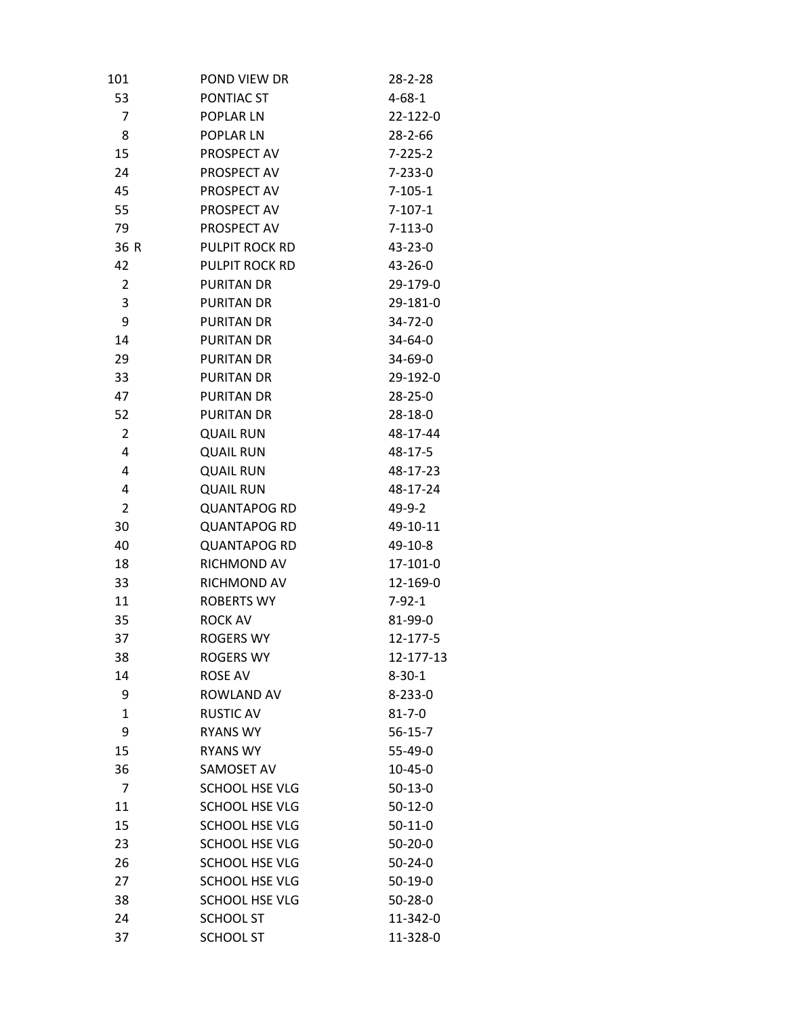| 101            | POND VIEW DR          | 28-2-28       |
|----------------|-----------------------|---------------|
| 53             | PONTIAC ST            | $4 - 68 - 1$  |
| 7              | <b>POPLAR LN</b>      | 22-122-0      |
| 8              | POPLAR LN             | $28 - 2 - 66$ |
| 15             | PROSPECT AV           | $7 - 225 - 2$ |
| 24             | PROSPECT AV           | $7 - 233 - 0$ |
| 45             | PROSPECT AV           | $7 - 105 - 1$ |
| 55             | PROSPECT AV           | $7-107-1$     |
| 79             | PROSPECT AV           | $7-113-0$     |
| 36 R           | PULPIT ROCK RD        | 43-23-0       |
| 42             | PULPIT ROCK RD        | 43-26-0       |
| 2              | <b>PURITAN DR</b>     | 29-179-0      |
| 3              | <b>PURITAN DR</b>     | 29-181-0      |
| 9              | <b>PURITAN DR</b>     | 34-72-0       |
| 14             | <b>PURITAN DR</b>     | 34-64-0       |
| 29             | <b>PURITAN DR</b>     | 34-69-0       |
| 33             | <b>PURITAN DR</b>     | 29-192-0      |
| 47             | <b>PURITAN DR</b>     | $28 - 25 - 0$ |
| 52             | <b>PURITAN DR</b>     | 28-18-0       |
| $\overline{2}$ | <b>QUAIL RUN</b>      | 48-17-44      |
| 4              | <b>QUAIL RUN</b>      | 48-17-5       |
| 4              | <b>QUAIL RUN</b>      | 48-17-23      |
| 4              | <b>QUAIL RUN</b>      | 48-17-24      |
| $\overline{2}$ | <b>QUANTAPOG RD</b>   | 49-9-2        |
| 30             | <b>QUANTAPOG RD</b>   | 49-10-11      |
| 40             | <b>QUANTAPOG RD</b>   | 49-10-8       |
| 18             | RICHMOND AV           | 17-101-0      |
| 33             | RICHMOND AV           | 12-169-0      |
| 11             | <b>ROBERTS WY</b>     | $7 - 92 - 1$  |
| 35             | <b>ROCK AV</b>        | 81-99-0       |
| 37             | <b>ROGERS WY</b>      | 12-177-5      |
| 38             | ROGERS WY             | 12-177-13     |
| 14             | <b>ROSE AV</b>        | $8 - 30 - 1$  |
| 9              | <b>ROWLAND AV</b>     | $8 - 233 - 0$ |
| $\mathbf{1}$   | <b>RUSTIC AV</b>      | $81 - 7 - 0$  |
| 9              | <b>RYANS WY</b>       | $56 - 15 - 7$ |
| 15             | <b>RYANS WY</b>       | 55-49-0       |
| 36             | SAMOSET AV            | $10 - 45 - 0$ |
| 7              | <b>SCHOOL HSE VLG</b> | $50-13-0$     |
| 11             | <b>SCHOOL HSE VLG</b> | $50-12-0$     |
| 15             | <b>SCHOOL HSE VLG</b> | $50-11-0$     |
| 23             | <b>SCHOOL HSE VLG</b> | $50 - 20 - 0$ |
| 26             | <b>SCHOOL HSE VLG</b> | $50 - 24 - 0$ |
| 27             | SCHOOL HSE VLG        | $50-19-0$     |
| 38             | <b>SCHOOL HSE VLG</b> | $50 - 28 - 0$ |
| 24             | <b>SCHOOL ST</b>      | 11-342-0      |
| 37             | <b>SCHOOL ST</b>      | 11-328-0      |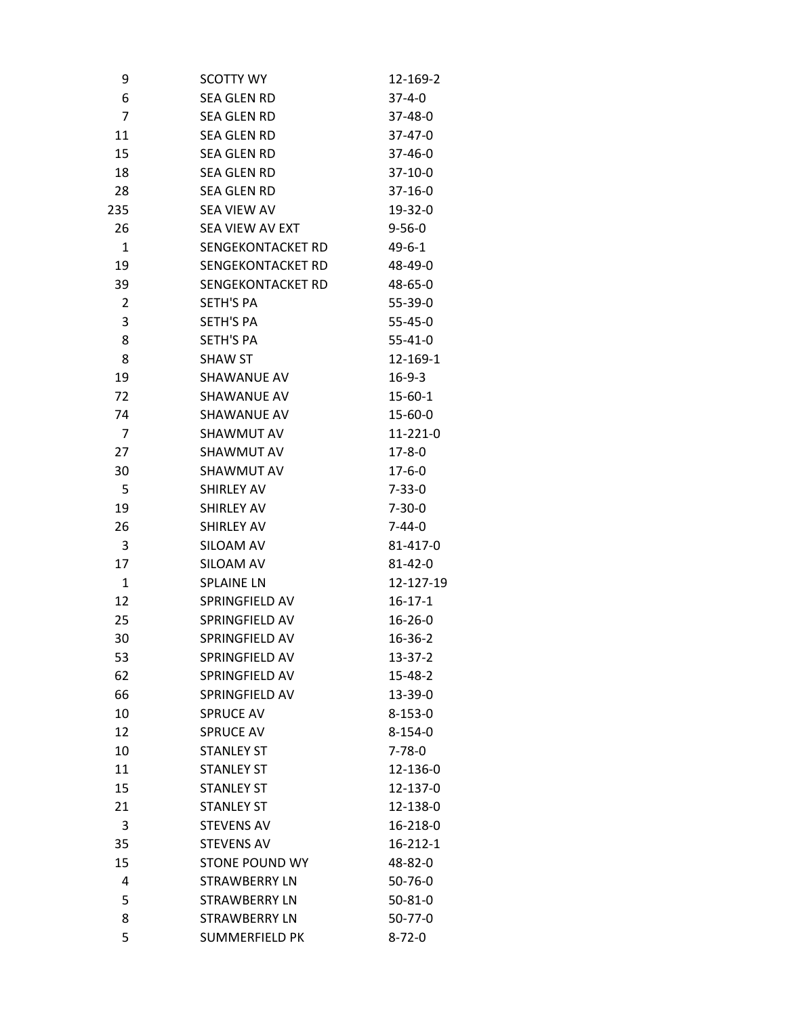| 9              | SCOTTY WY             | 12-169-2      |
|----------------|-----------------------|---------------|
| 6              | SEA GLEN RD           | $37 - 4 - 0$  |
| $\overline{7}$ | <b>SEA GLEN RD</b>    | 37-48-0       |
| 11             | <b>SEA GLEN RD</b>    | $37 - 47 - 0$ |
| 15             | <b>SEA GLEN RD</b>    | 37-46-0       |
| 18             | <b>SEA GLEN RD</b>    | 37-10-0       |
| 28             | SEA GLEN RD           | $37 - 16 - 0$ |
| 235            | SEA VIEW AV           | 19-32-0       |
| 26             | SEA VIEW AV EXT       | $9 - 56 - 0$  |
| $\mathbf{1}$   | SENGEKONTACKET RD     | $49 - 6 - 1$  |
| 19             | SENGEKONTACKET RD     | 48-49-0       |
| 39             | SENGEKONTACKET RD     | 48-65-0       |
| 2              | SETH'S PA             | 55-39-0       |
| 3              | <b>SETH'S PA</b>      | $55 - 45 - 0$ |
| 8              | <b>SETH'S PA</b>      | $55 - 41 - 0$ |
| 8              | <b>SHAW ST</b>        | 12-169-1      |
| 19             | SHAWANUE AV           | $16-9-3$      |
| 72             | SHAWANUE AV           | $15 - 60 - 1$ |
| 74             | SHAWANUE AV           | 15-60-0       |
| 7              | SHAWMUT AV            | 11-221-0      |
| 27             | SHAWMUT AV            | $17 - 8 - 0$  |
| 30             | SHAWMUT AV            | $17 - 6 - 0$  |
| 5              | <b>SHIRLEY AV</b>     | $7 - 33 - 0$  |
| 19             | SHIRLEY AV            | $7 - 30 - 0$  |
| 26             | <b>SHIRLEY AV</b>     | 7-44-0        |
| 3              | SILOAM AV             | 81-417-0      |
| 17             | SILOAM AV             | $81 - 42 - 0$ |
| 1              | <b>SPLAINE LN</b>     | 12-127-19     |
| 12             | SPRINGFIELD AV        | $16 - 17 - 1$ |
| 25             | SPRINGFIELD AV        | $16 - 26 - 0$ |
| 30             | SPRINGFIELD AV        | 16-36-2       |
| 53             | SPRINGFIELD AV        | $13 - 37 - 2$ |
| 62             | SPRINGFIELD AV        | 15-48-2       |
| 66             | SPRINGFIELD AV        | 13-39-0       |
| 10             | <b>SPRUCE AV</b>      | $8 - 153 - 0$ |
| 12             | <b>SPRUCE AV</b>      | $8 - 154 - 0$ |
| 10             | <b>STANLEY ST</b>     | $7 - 78 - 0$  |
| 11             | <b>STANLEY ST</b>     | 12-136-0      |
| 15             | <b>STANLEY ST</b>     | 12-137-0      |
| 21             | <b>STANLEY ST</b>     | 12-138-0      |
| 3              | <b>STEVENS AV</b>     | 16-218-0      |
| 35             | <b>STEVENS AV</b>     | 16-212-1      |
| 15             | <b>STONE POUND WY</b> | 48-82-0       |
| 4              | <b>STRAWBERRY LN</b>  | $50 - 76 - 0$ |
| 5              | STRAWBERRY LN         | $50 - 81 - 0$ |
| 8              | <b>STRAWBERRY LN</b>  | 50-77-0       |
| 5              | <b>SUMMERFIELD PK</b> | $8 - 72 - 0$  |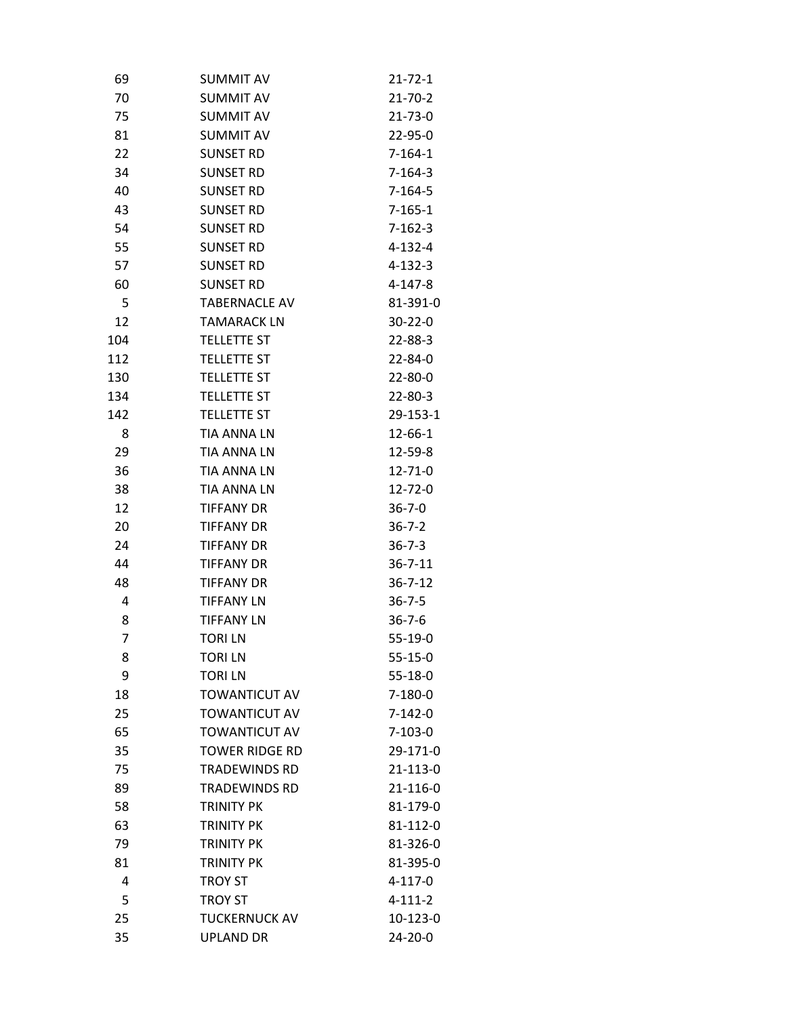| 69             | <b>SUMMIT AV</b>      | $21 - 72 - 1$ |
|----------------|-----------------------|---------------|
| 70             | <b>SUMMIT AV</b>      | $21 - 70 - 2$ |
| 75             | <b>SUMMIT AV</b>      | $21 - 73 - 0$ |
| 81             | <b>SUMMIT AV</b>      | 22-95-0       |
| 22             | <b>SUNSET RD</b>      | $7 - 164 - 1$ |
| 34             | <b>SUNSET RD</b>      | $7 - 164 - 3$ |
| 40             | <b>SUNSET RD</b>      | $7 - 164 - 5$ |
| 43             | <b>SUNSET RD</b>      | $7 - 165 - 1$ |
| 54             | <b>SUNSET RD</b>      | $7 - 162 - 3$ |
| 55             | <b>SUNSET RD</b>      | $4 - 132 - 4$ |
| 57             | <b>SUNSET RD</b>      | $4 - 132 - 3$ |
| 60             | <b>SUNSET RD</b>      | $4 - 147 - 8$ |
| 5              | <b>TABERNACLE AV</b>  | 81-391-0      |
| 12             | <b>TAMARACK LN</b>    | $30 - 22 - 0$ |
| 104            | <b>TELLETTE ST</b>    | $22 - 88 - 3$ |
| 112            | <b>TELLETTE ST</b>    | $22 - 84 - 0$ |
| 130            | <b>TELLETTE ST</b>    | $22 - 80 - 0$ |
| 134            | <b>TELLETTE ST</b>    | $22 - 80 - 3$ |
| 142            | <b>TELLETTE ST</b>    | 29-153-1      |
| 8              | <b>TIA ANNA LN</b>    | $12 - 66 - 1$ |
| 29             | <b>TIA ANNA LN</b>    | 12-59-8       |
| 36             | <b>TIA ANNA LN</b>    | $12 - 71 - 0$ |
| 38             | <b>TIA ANNA LN</b>    | $12 - 72 - 0$ |
| 12             | <b>TIFFANY DR</b>     | $36 - 7 - 0$  |
| 20             | <b>TIFFANY DR</b>     | $36 - 7 - 2$  |
| 24             | <b>TIFFANY DR</b>     | $36 - 7 - 3$  |
| 44             | <b>TIFFANY DR</b>     | $36 - 7 - 11$ |
| 48             | <b>TIFFANY DR</b>     | $36 - 7 - 12$ |
| 4              | <b>TIFFANY LN</b>     | $36 - 7 - 5$  |
| 8              | <b>TIFFANY LN</b>     | $36 - 7 - 6$  |
| $\overline{7}$ | <b>TORILN</b>         | $55-19-0$     |
| 8              | <b>TORILN</b>         | $55 - 15 - 0$ |
| 9              | <b>TORILN</b>         | $55 - 18 - 0$ |
| 18             | <b>TOWANTICUT AV</b>  | $7-180-0$     |
| 25             | <b>TOWANTICUT AV</b>  | $7-142-0$     |
| 65             | <b>TOWANTICUT AV</b>  | $7-103-0$     |
| 35             | <b>TOWER RIDGE RD</b> | 29-171-0      |
| 75             | <b>TRADEWINDS RD</b>  | 21-113-0      |
| 89             | <b>TRADEWINDS RD</b>  | 21-116-0      |
| 58             | <b>TRINITY PK</b>     | 81-179-0      |
| 63             | <b>TRINITY PK</b>     | 81-112-0      |
| 79             | <b>TRINITY PK</b>     | 81-326-0      |
| 81             | <b>TRINITY PK</b>     | 81-395-0      |
| 4              | <b>TROY ST</b>        | 4-117-0       |
| 5              | <b>TROY ST</b>        | $4 - 111 - 2$ |
| 25             | <b>TUCKERNUCK AV</b>  | 10-123-0      |
| 35             | UPLAND DR             | 24-20-0       |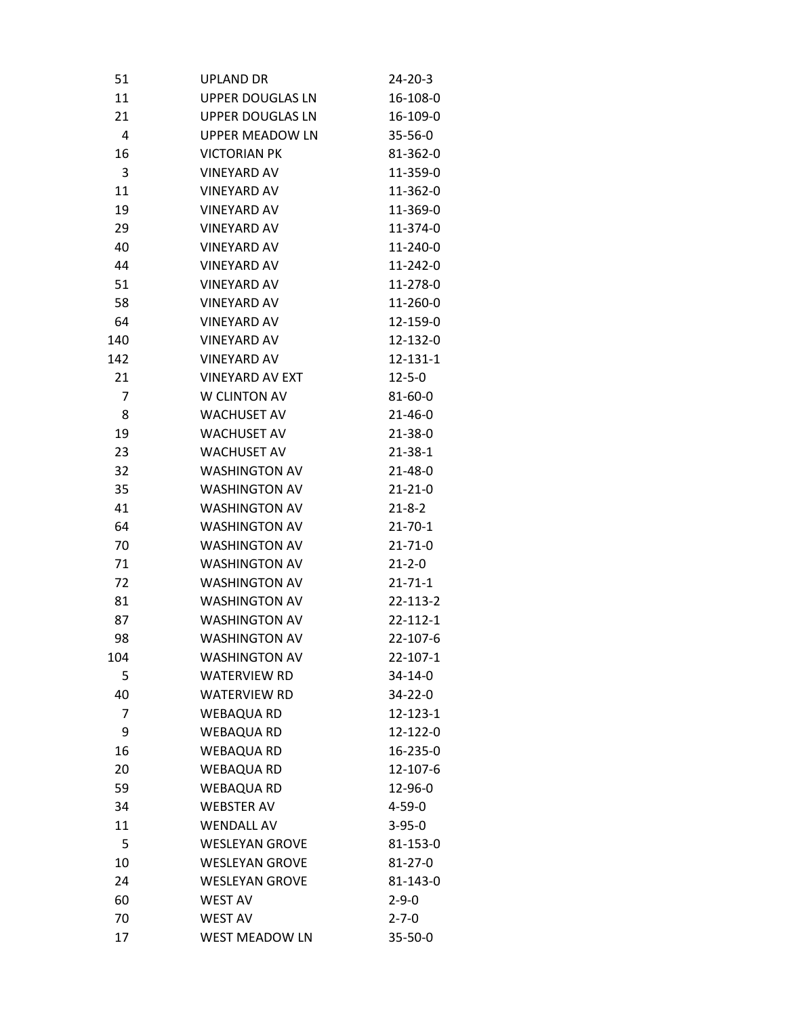| 51             | <b>UPLAND DR</b>        | 24-20-3       |
|----------------|-------------------------|---------------|
| 11             | <b>UPPER DOUGLAS LN</b> | 16-108-0      |
| 21             | <b>UPPER DOUGLAS LN</b> | 16-109-0      |
| 4              | <b>UPPER MEADOW LN</b>  | $35 - 56 - 0$ |
| 16             | <b>VICTORIAN PK</b>     | 81-362-0      |
| 3              | <b>VINEYARD AV</b>      | 11-359-0      |
| 11             | <b>VINEYARD AV</b>      | 11-362-0      |
| 19             | <b>VINEYARD AV</b>      | 11-369-0      |
| 29             | <b>VINEYARD AV</b>      | 11-374-0      |
| 40             | <b>VINEYARD AV</b>      | 11-240-0      |
| 44             | <b>VINEYARD AV</b>      | 11-242-0      |
| 51             | <b>VINEYARD AV</b>      | 11-278-0      |
| 58             | <b>VINEYARD AV</b>      | 11-260-0      |
| 64             | <b>VINEYARD AV</b>      | 12-159-0      |
| 140            | <b>VINEYARD AV</b>      | 12-132-0      |
| 142            | <b>VINEYARD AV</b>      | 12-131-1      |
| 21             | <b>VINEYARD AV EXT</b>  | $12 - 5 - 0$  |
| $\overline{7}$ | W CLINTON AV            | 81-60-0       |
| 8              | <b>WACHUSET AV</b>      | $21 - 46 - 0$ |
| 19             | <b>WACHUSET AV</b>      | $21 - 38 - 0$ |
| 23             | <b>WACHUSET AV</b>      | $21 - 38 - 1$ |
| 32             | <b>WASHINGTON AV</b>    | $21 - 48 - 0$ |
| 35             | <b>WASHINGTON AV</b>    | $21 - 21 - 0$ |
| 41             | <b>WASHINGTON AV</b>    | $21 - 8 - 2$  |
| 64             | <b>WASHINGTON AV</b>    | $21 - 70 - 1$ |
| 70             | <b>WASHINGTON AV</b>    | $21 - 71 - 0$ |
| 71             | <b>WASHINGTON AV</b>    | $21 - 2 - 0$  |
| 72             | <b>WASHINGTON AV</b>    | $21 - 71 - 1$ |
| 81             | <b>WASHINGTON AV</b>    | 22-113-2      |
| 87             | <b>WASHINGTON AV</b>    | 22-112-1      |
| 98             | <b>WASHINGTON AV</b>    | 22-107-6      |
| 104            | <b>WASHINGTON AV</b>    | 22-107-1      |
| 5              | <b>WATERVIEW RD</b>     | $34 - 14 - 0$ |
| 40             | <b>WATERVIEW RD</b>     | 34-22-0       |
| $\overline{7}$ | <b>WEBAQUA RD</b>       | 12-123-1      |
| 9              | <b>WEBAQUA RD</b>       | 12-122-0      |
| 16             | <b>WEBAQUA RD</b>       | 16-235-0      |
| 20             | <b>WEBAQUA RD</b>       | 12-107-6      |
| 59             | <b>WEBAQUA RD</b>       | 12-96-0       |
| 34             | <b>WEBSTER AV</b>       | $4 - 59 - 0$  |
| 11             | <b>WENDALL AV</b>       | $3 - 95 - 0$  |
| 5              | <b>WESLEYAN GROVE</b>   | 81-153-0      |
| 10             | <b>WESLEYAN GROVE</b>   | $81 - 27 - 0$ |
| 24             | <b>WESLEYAN GROVE</b>   | 81-143-0      |
| 60             | <b>WEST AV</b>          | $2 - 9 - 0$   |
| 70             | <b>WEST AV</b>          | $2 - 7 - 0$   |
| 17             | <b>WEST MEADOW LN</b>   | 35-50-0       |